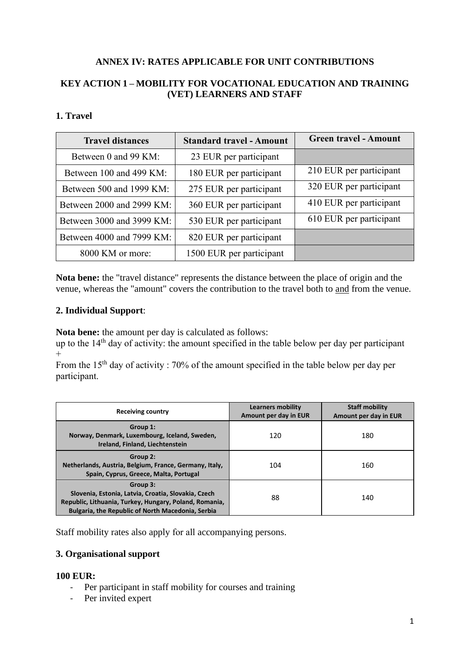# **ANNEX IV: RATES APPLICABLE FOR UNIT CONTRIBUTIONS**

# **KEY ACTION 1 – MOBILITY FOR VOCATIONAL EDUCATION AND TRAINING (VET) LEARNERS AND STAFF**

### **1. Travel**

| <b>Travel distances</b>   | <b>Standard travel - Amount</b> | <b>Green travel - Amount</b> |
|---------------------------|---------------------------------|------------------------------|
| Between 0 and 99 KM:      | 23 EUR per participant          |                              |
| Between 100 and 499 KM:   | 180 EUR per participant         | 210 EUR per participant      |
| Between 500 and 1999 KM:  | 275 EUR per participant         | 320 EUR per participant      |
| Between 2000 and 2999 KM: | 360 EUR per participant         | 410 EUR per participant      |
| Between 3000 and 3999 KM: | 530 EUR per participant         | 610 EUR per participant      |
| Between 4000 and 7999 KM: | 820 EUR per participant         |                              |
| 8000 KM or more:          | 1500 EUR per participant        |                              |

**Nota bene:** the "travel distance" represents the distance between the place of origin and the venue, whereas the "amount" covers the contribution to the travel both to and from the venue.

#### **2. Individual Support**:

**Nota bene:** the amount per day is calculated as follows:

up to the  $14<sup>th</sup>$  day of activity: the amount specified in the table below per day per participant  $+$ 

From the  $15<sup>th</sup>$  day of activity : 70% of the amount specified in the table below per day per participant.

| <b>Receiving country</b>                                                                                                                                                       | <b>Learners mobility</b><br>Amount per day in EUR | <b>Staff mobility</b><br>Amount per day in EUR |
|--------------------------------------------------------------------------------------------------------------------------------------------------------------------------------|---------------------------------------------------|------------------------------------------------|
| Group 1:<br>Norway, Denmark, Luxembourg, Iceland, Sweden,<br>Ireland, Finland, Liechtenstein                                                                                   | 120                                               | 180                                            |
| Group 2:<br>Netherlands, Austria, Belgium, France, Germany, Italy,<br>Spain, Cyprus, Greece, Malta, Portugal                                                                   | 104                                               | 160                                            |
| Group 3:<br>Slovenia, Estonia, Latvia, Croatia, Slovakia, Czech<br>Republic, Lithuania, Turkey, Hungary, Poland, Romania,<br>Bulgaria, the Republic of North Macedonia, Serbia | 88                                                | 140                                            |

Staff mobility rates also apply for all accompanying persons.

# **3. Organisational support**

#### **100 EUR:**

- Per participant in staff mobility for courses and training
- Per invited expert